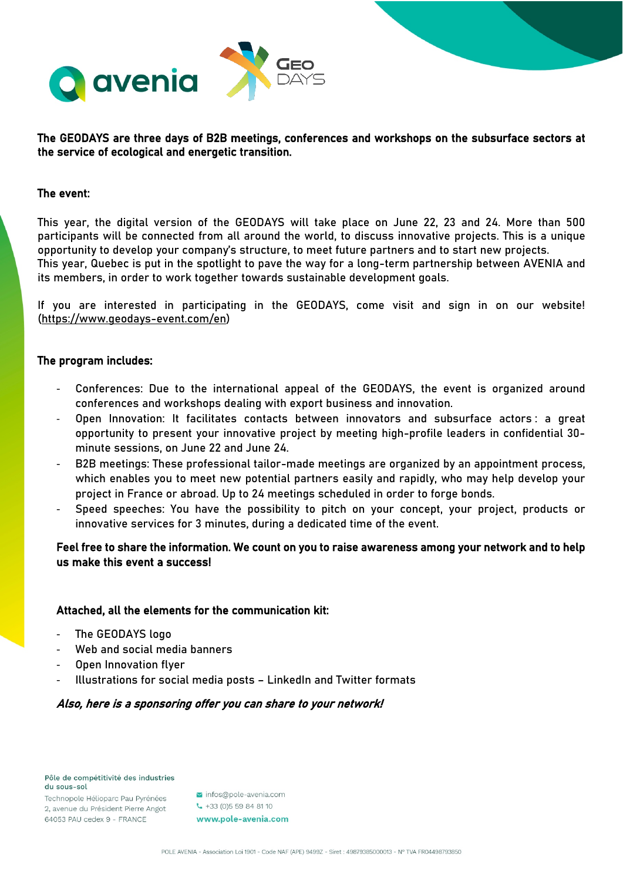

# The GEODAYS are three days of B2B meetings, conferences and workshops on the subsurface sectors at the service of ecological and energetic transition.

#### The event:

This year, the digital version of the GEODAYS will take place on June 22, 23 and 24. More than 500 participants will be connected from all around the world, to discuss innovative projects. This is a unique opportunity to develop your company's structure, to meet future partners and to start new projects. This year, Quebec is put in the spotlight to pave the way for a long-term partnership between AVENIA and

its members, in order to work together towards sustainable development goals.

If you are interested in participating in the GEODAYS, come visit and sign in on our website! [\(https://www.geodays-event.com/en\)](https://www.geodays-event.com/en)

## The program includes:

- Conferences: Due to the international appeal of the GEODAYS, the event is organized around conferences and workshops dealing with export business and innovation.
- Open Innovation: It facilitates contacts between innovators and subsurface actors : a great opportunity to present your innovative project by meeting high-profile leaders in confidential 30 minute sessions, on June 22 and June 24.
- B2B meetings: These professional tailor-made meetings are organized by an appointment process, which enables you to meet new potential partners easily and rapidly, who may help develop your project in France or abroad. Up to 24 meetings scheduled in order to forge bonds.
- Speed speeches: You have the possibility to pitch on your concept, your project, products or innovative services for 3 minutes, during a dedicated time of the event.

# Feel free to share the information. We count on you to raise awareness among your network and to help us make this event a success!

# Attached, all the elements for the communication kit:

- The GEODAYS logo
- Web and social media banners
- Open Innovation flyer
- Illustrations for social media posts LinkedIn and Twitter formats

## Also, here is a sponsoring offer you can share to your network!

Pôle de compétitivité des industries du sous-sol

Technopole Hélioparc Pau Pyrénées 2, avenue du Président Pierre Angot 64053 PAU cedex 9 - FRANCE

infos@pole-avenia.com

 $-433(0)559848110$ 

www.pole-avenia.com